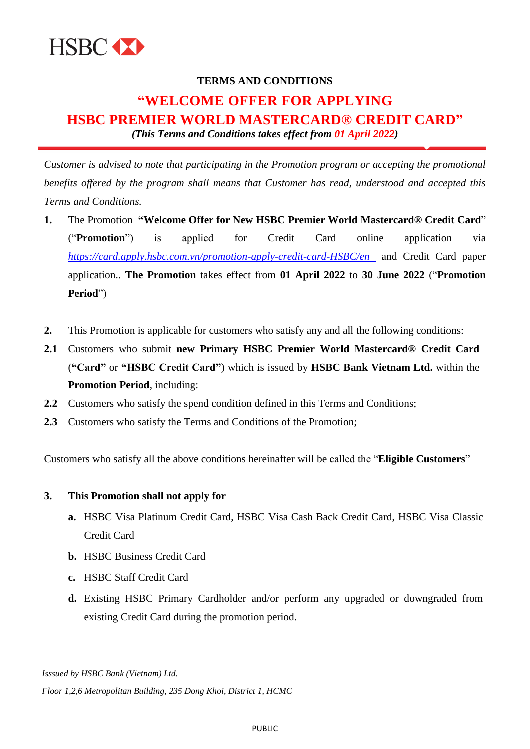

# **TERMS AND CONDITIONS "WELCOME OFFER FOR APPLYING HSBC PREMIER WORLD MASTERCARD® CREDIT CARD"** *(This Terms and Conditions takes effect from 01 April 2022)*

*Customer is advised to note that participating in the Promotion program or accepting the promotional benefits offered by the program shall means that Customer has read, understood and accepted this Terms and Conditions.*

- **1.** The Promotion **"Welcome Offer for New HSBC Premier World Mastercard® Credit Card**" ("**Promotion**") is applied for Credit Card online application via *<https://card.apply.hsbc.com.vn/promotion-apply-credit-card-HSBC/en>* and Credit Card paper application.. **The Promotion** takes effect from **01 April 2022** to **30 June 2022** ("**Promotion Period**")
- **2.** This Promotion is applicable for customers who satisfy any and all the following conditions:
- **2.1** Customers who submit **new Primary HSBC Premier World Mastercard® Credit Card** (**"Card"** or **"HSBC Credit Card"**) which is issued by **HSBC Bank Vietnam Ltd.** within the **Promotion Period**, including:
- **2.2** Customers who satisfy the spend condition defined in this Terms and Conditions;
- **2.3** Customers who satisfy the Terms and Conditions of the Promotion;

Customers who satisfy all the above conditions hereinafter will be called the "**Eligible Customers**"

#### **3. This Promotion shall not apply for**

- **a.** HSBC Visa Platinum Credit Card, HSBC Visa Cash Back Credit Card, HSBC Visa Classic Credit Card
- **b.** HSBC Business Credit Card
- **c.** HSBC Staff Credit Card
- **d.** Existing HSBC Primary Cardholder and/or perform any upgraded or downgraded from existing Credit Card during the promotion period.

*Isssued by HSBC Bank (Vietnam) Ltd. Floor 1,2,6 Metropolitan Building, 235 Dong Khoi, District 1, HCMC*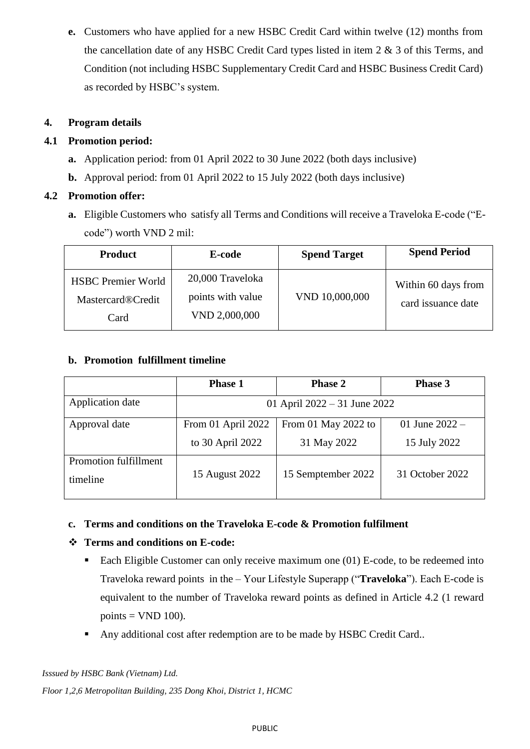**e.** Customers who have applied for a new HSBC Credit Card within twelve (12) months from the cancellation date of any HSBC Credit Card types listed in item 2 & 3 of this Terms, and Condition (not including HSBC Supplementary Credit Card and HSBC Business Credit Card) as recorded by HSBC's system.

# **4. Program details**

## **4.1 Promotion period:**

- **a.** Application period: from 01 April 2022 to 30 June 2022 (both days inclusive)
- **b.** Approval period: from 01 April 2022 to 15 July 2022 (both days inclusive)

# **4.2 Promotion offer:**

**a.** Eligible Customers who satisfy all Terms and Conditions will receive a Traveloka E-code ("Ecode") worth VND 2 mil:

| <b>Product</b>                                                | E-code                                                 | <b>Spend Target</b> | <b>Spend Period</b>                       |
|---------------------------------------------------------------|--------------------------------------------------------|---------------------|-------------------------------------------|
| <b>HSBC Premier World</b><br><b>Mastercard®Credit</b><br>Card | 20,000 Traveloka<br>points with value<br>VND 2,000,000 | VND 10,000,000      | Within 60 days from<br>card issuance date |

## **b. Promotion fulfillment timeline**

|                                   | <b>Phase 1</b>                         | <b>Phase 2</b>                     | Phase 3                          |
|-----------------------------------|----------------------------------------|------------------------------------|----------------------------------|
| Application date                  | 01 April $2022 - 31$ June 2022         |                                    |                                  |
| Approval date                     | From 01 April 2022<br>to 30 April 2022 | From 01 May 2022 to<br>31 May 2022 | 01 June $2022 -$<br>15 July 2022 |
| Promotion fulfillment<br>timeline | 15 August 2022                         | 15 Semptember 2022                 | 31 October 2022                  |

### **c. Terms and conditions on the Traveloka E-code & Promotion fulfilment**

# **Terms and conditions on E-code:**

- Each Eligible Customer can only receive maximum one  $(01)$  E-code, to be redeemed into Traveloka reward points in the – Your Lifestyle Superapp ("**Traveloka**"). Each E-code is equivalent to the number of Traveloka reward points as defined in Article 4.2 (1 reward points  $=$  VND 100).
- Any additional cost after redemption are to be made by HSBC Credit Card..

*Isssued by HSBC Bank (Vietnam) Ltd. Floor 1,2,6 Metropolitan Building, 235 Dong Khoi, District 1, HCMC*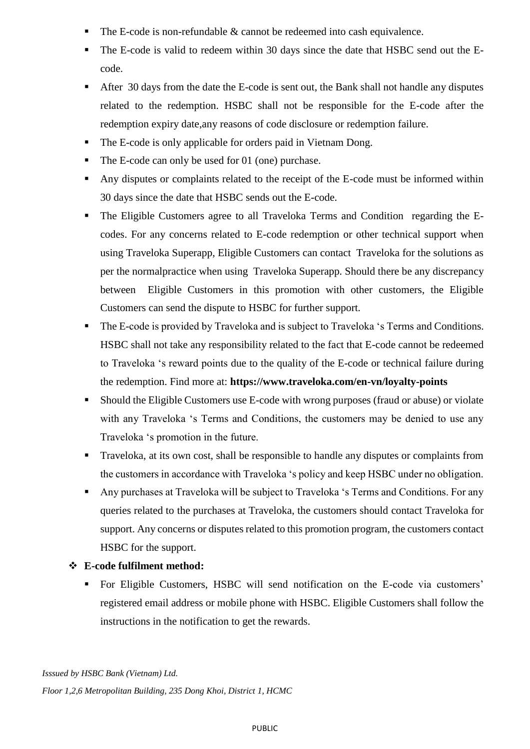- The E-code is non-refundable & cannot be redeemed into cash equivalence.
- The E-code is valid to redeem within 30 days since the date that HSBC send out the Ecode.
- After 30 days from the date the E-code is sent out, the Bank shall not handle any disputes related to the redemption. HSBC shall not be responsible for the E-code after the redemption expiry date,any reasons of code disclosure or redemption failure.
- The E-code is only applicable for orders paid in Vietnam Dong.
- The E-code can only be used for 01 (one) purchase.
- Any disputes or complaints related to the receipt of the E-code must be informed within 30 days since the date that HSBC sends out the E-code.
- The Eligible Customers agree to all Traveloka Terms and Condition regarding the Ecodes. For any concerns related to E-code redemption or other technical support when using Traveloka Superapp, Eligible Customers can contact Traveloka for the solutions as per the normalpractice when using Traveloka Superapp. Should there be any discrepancy between Eligible Customers in this promotion with other customers, the Eligible Customers can send the dispute to HSBC for further support.
- The E-code is provided by Traveloka and is subject to Traveloka 's Terms and Conditions. HSBC shall not take any responsibility related to the fact that E-code cannot be redeemed to Traveloka 's reward points due to the quality of the E-code or technical failure during the redemption. Find more at: **<https://www.traveloka.com/en-vn/loyalty-points>**
- Should the Eligible Customers use E-code with wrong purposes (fraud or abuse) or violate with any Traveloka 's Terms and Conditions, the customers may be denied to use any Traveloka 's promotion in the future.
- **Traveloka, at its own cost, shall be responsible to handle any disputes or complaints from** the customers in accordance with Traveloka 's policy and keep HSBC under no obligation.
- Any purchases at Traveloka will be subject to Traveloka 's Terms and Conditions. For any queries related to the purchases at Traveloka, the customers should contact Traveloka for support. Any concerns or disputes related to this promotion program, the customers contact HSBC for the support.

# **E-code fulfilment method:**

 For Eligible Customers, HSBC will send notification on the E-code via customers' registered email address or mobile phone with HSBC. Eligible Customers shall follow the instructions in the notification to get the rewards.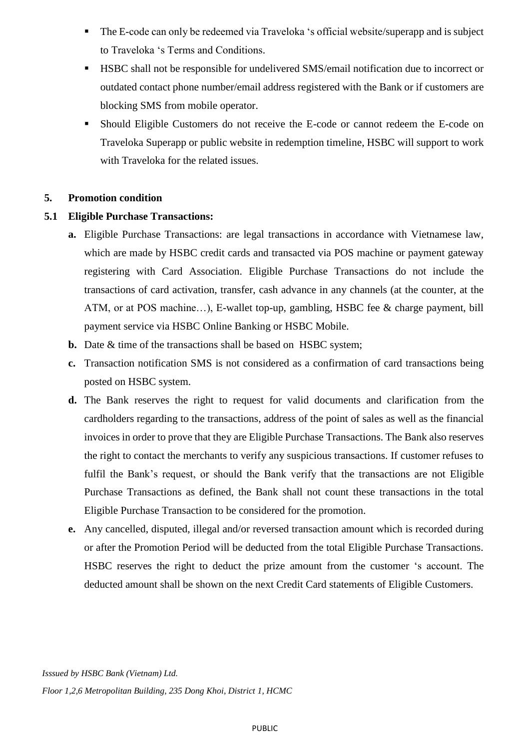- The E-code can only be redeemed via Traveloka 's official website/superapp and is subject to Traveloka 's Terms and Conditions.
- HSBC shall not be responsible for undelivered SMS/email notification due to incorrect or outdated contact phone number/email address registered with the Bank or if customers are blocking SMS from mobile operator.
- Should Eligible Customers do not receive the E-code or cannot redeem the E-code on Traveloka Superapp or public website in redemption timeline, HSBC will support to work with Traveloka for the related issues.

#### **5. Promotion condition**

#### **5.1 Eligible Purchase Transactions:**

- **a.** Eligible Purchase Transactions: are legal transactions in accordance with Vietnamese law, which are made by HSBC credit cards and transacted via POS machine or payment gateway registering with Card Association. Eligible Purchase Transactions do not include the transactions of card activation, transfer, cash advance in any channels (at the counter, at the ATM, or at POS machine…), E-wallet top-up, gambling, HSBC fee & charge payment, bill payment service via HSBC Online Banking or HSBC Mobile.
- **b.** Date & time of the transactions shall be based on HSBC system;
- **c.** Transaction notification SMS is not considered as a confirmation of card transactions being posted on HSBC system.
- **d.** The Bank reserves the right to request for valid documents and clarification from the cardholders regarding to the transactions, address of the point of sales as well as the financial invoices in order to prove that they are Eligible Purchase Transactions. The Bank also reserves the right to contact the merchants to verify any suspicious transactions. If customer refuses to fulfil the Bank's request, or should the Bank verify that the transactions are not Eligible Purchase Transactions as defined, the Bank shall not count these transactions in the total Eligible Purchase Transaction to be considered for the promotion.
- **e.** Any cancelled, disputed, illegal and/or reversed transaction amount which is recorded during or after the Promotion Period will be deducted from the total Eligible Purchase Transactions. HSBC reserves the right to deduct the prize amount from the customer 's account. The deducted amount shall be shown on the next Credit Card statements of Eligible Customers.

*Isssued by HSBC Bank (Vietnam) Ltd. Floor 1,2,6 Metropolitan Building, 235 Dong Khoi, District 1, HCMC*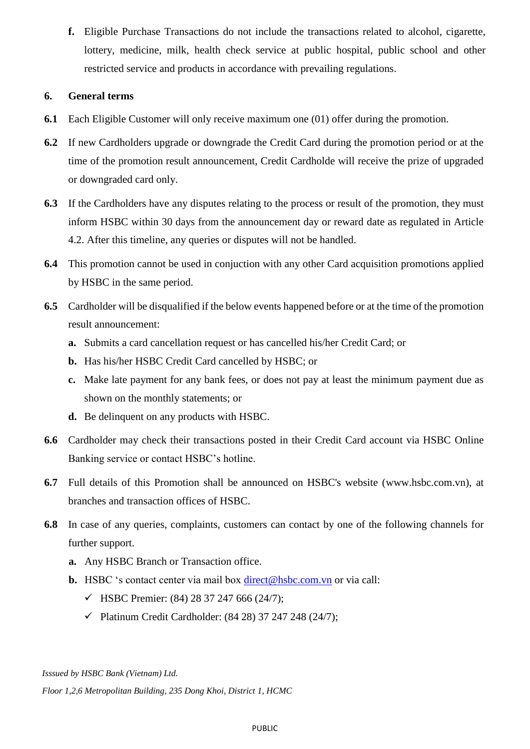**f.** Eligible Purchase Transactions do not include the transactions related to alcohol, cigarette, lottery, medicine, milk, health check service at public hospital, public school and other restricted service and products in accordance with prevailing regulations.

## **6. General terms**

- **6.1** Each Eligible Customer will only receive maximum one (01) offer during the promotion.
- **6.2** If new Cardholders upgrade or downgrade the Credit Card during the promotion period or at the time of the promotion result announcement, Credit Cardholde will receive the prize of upgraded or downgraded card only.
- **6.3** If the Cardholders have any disputes relating to the process or result of the promotion, they must inform HSBC within 30 days from the announcement day or reward date as regulated in Article 4.2. After this timeline, any queries or disputes will not be handled.
- **6.4** This promotion cannot be used in conjuction with any other Card acquisition promotions applied by HSBC in the same period.
- **6.5** Cardholder will be disqualified if the below events happened before or at the time of the promotion result announcement:
	- **a.** Submits a card cancellation request or has cancelled his/her Credit Card; or
	- **b.** Has his/her HSBC Credit Card cancelled by HSBC; or
	- **c.** Make late payment for any bank fees, or does not pay at least the minimum payment due as shown on the monthly statements; or
	- **d.** Be delinquent on any products with HSBC.
- **6.6** Cardholder may check their transactions posted in their Credit Card account via HSBC Online Banking service or contact HSBC's hotline.
- **6.7** Full details of this Promotion shall be announced on HSBC's website [\(www.hsbc.com.vn\)](http://www.hsbc.com.vn/), at branches and transaction offices of HSBC.
- **6.8** In case of any queries, complaints, customers can contact by one of the following channels for further support.
	- **a.** Any HSBC Branch or Transaction office.
	- **b.** HSBC 's contact center via mail box [direct@hsbc.com.vn](mailto:direct@hsbc.com.vn) or via call:
		- $\checkmark$  HSBC Premier: (84) 28 37 247 666 (24/7);
		- $\checkmark$  Platinum Credit Cardholder: [\(84 28\) 37 247 248](tel:00842837247248) (24/7);

*Isssued by HSBC Bank (Vietnam) Ltd.*

*Floor 1,2,6 Metropolitan Building, 235 Dong Khoi, District 1, HCMC*